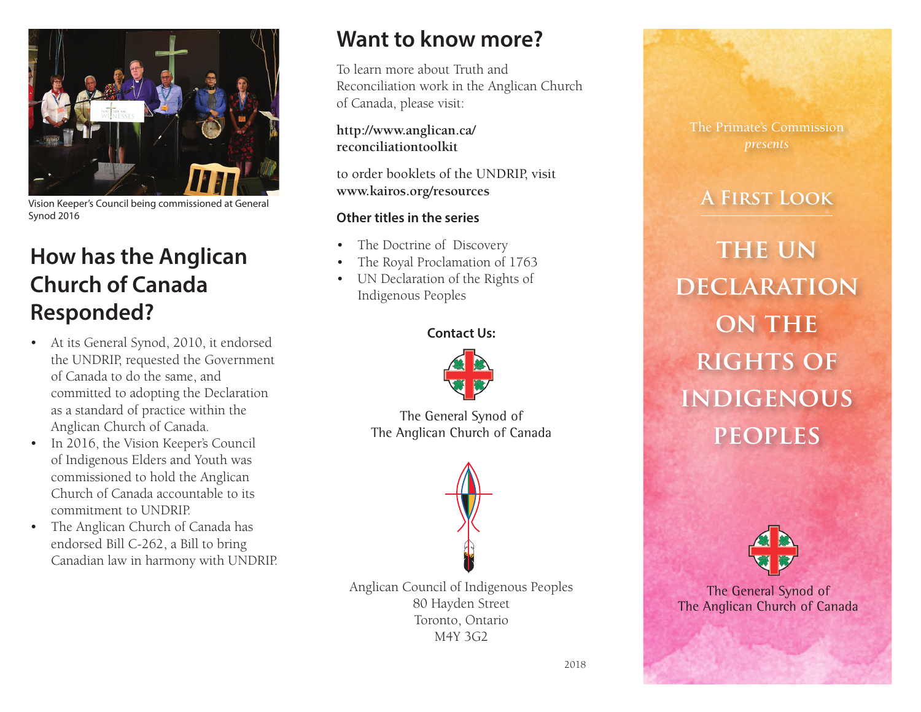

Vision Keeper's Council being commissioned at General Synod 2016

## **How has the Anglican Church of Canada Responded?**

- • At its General Synod, 2010, it endorsed the UNDRIP, requested the Government of Canada to do the same, and committed to adopting the Declaration as a standard of practice within the Anglican Church of Canada.
- In 2016, the Vision Keeper's Council of Indigenous Elders and Youth was commissioned to hold the Anglican Church of Canada accountable to its commitment to UNDRIP.
- The Anglican Church of Canada has endorsed Bill C-262, a Bill to bring Canadian law in harmony with UNDRIP.

## **Want to know more?**

To learn more about Truth and Reconciliation work in the Anglican Church of Canada, please visit:

**http://www.anglican.ca/ reconciliationtoolkit**

to order booklets of the UNDRIP, visit **www.kairos.org/resources**

### **Other titles in the series**

- The Doctrine of Discovery
- The Royal Proclamation of 1763
- • UN Declaration of the Rights of Indigenous Peoples

### **Contact Us:**



The General Synod of The Anglican Church of Canada



Anglican Council of Indigenous Peoples 80 Hayden Street Toronto, Ontario M4Y 3G2



### **A First Look**

**the un declaration on the rights of indigenous peoples**



The General Synod of The Anglican Church of Canada